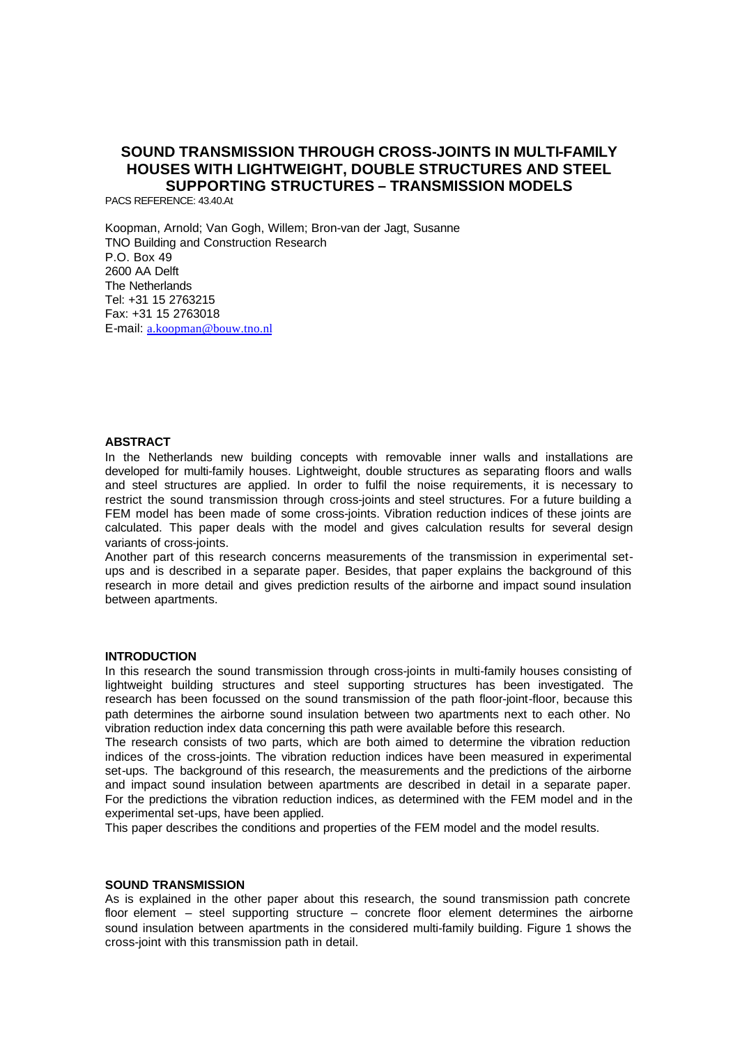# **SOUND TRANSMISSION THROUGH CROSS-JOINTS IN MULTI-FAMILY HOUSES WITH LIGHTWEIGHT, DOUBLE STRUCTURES AND STEEL SUPPORTING STRUCTURES – TRANSMISSION MODELS**

PACS REFERENCE: 43.40.At

Koopman, Arnold; Van Gogh, Willem; Bron-van der Jagt, Susanne TNO Building and Construction Research P.O. Box 49 2600 AA Delft The Netherlands Tel: +31 15 2763215 Fax: +31 15 2763018 E-mail: a.koopman@bouw.tno.nl

#### **ABSTRACT**

In the Netherlands new building concepts with removable inner walls and installations are developed for multi-family houses. Lightweight, double structures as separating floors and walls and steel structures are applied. In order to fulfil the noise requirements, it is necessary to restrict the sound transmission through cross-joints and steel structures. For a future building a FEM model has been made of some cross-joints. Vibration reduction indices of these joints are calculated. This paper deals with the model and gives calculation results for several design variants of cross-joints.

Another part of this research concerns measurements of the transmission in experimental setups and is described in a separate paper. Besides, that paper explains the background of this research in more detail and gives prediction results of the airborne and impact sound insulation between apartments.

### **INTRODUCTION**

In this research the sound transmission through cross-joints in multi-family houses consisting of lightweight building structures and steel supporting structures has been investigated. The research has been focussed on the sound transmission of the path floor-joint-floor, because this path determines the airborne sound insulation between two apartments next to each other. No vibration reduction index data concerning this path were available before this research.

The research consists of two parts, which are both aimed to determine the vibration reduction indices of the cross-joints. The vibration reduction indices have been measured in experimental set-ups. The background of this research, the measurements and the predictions of the airborne and impact sound insulation between apartments are described in detail in a separate paper. For the predictions the vibration reduction indices, as determined with the FEM model and in the experimental set-ups, have been applied.

This paper describes the conditions and properties of the FEM model and the model results.

#### **SOUND TRANSMISSION**

As is explained in the other paper about this research, the sound transmission path concrete floor element – steel supporting structure – concrete floor element determines the airborne sound insulation between apartments in the considered multi-family building. Figure 1 shows the cross-joint with this transmission path in detail.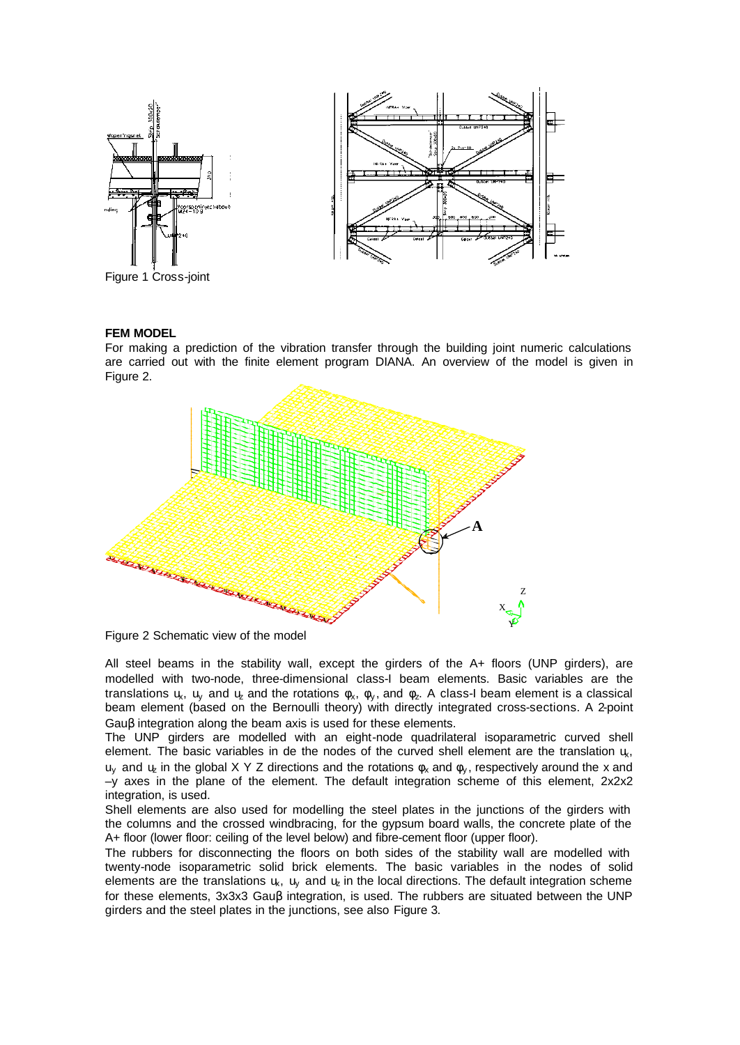

Figure 1 Cross-joint

## **FEM MODEL**

For making a prediction of the vibration transfer through the building joint numeric calculations are carried out with the finite element program DIANA. An overview of the model is given in Figure 2.



Figure 2 Schematic view of the model

All steel beams in the stability wall, except the girders of the A+ floors (UNP girders), are modelled with two-node, three-dimensional class-I beam elements. Basic variables are the translations  $u_x$ ,  $u_y$  and  $u_z$  and the rotations  $\phi_x$ ,  $\phi_y$ , and  $\phi_z$ . A class-I beam element is a classical beam element (based on the Bernoulli theory) with directly integrated cross-sections. A 2-point Gauβ integration along the beam axis is used for these elements.

The UNP girders are modelled with an eight-node quadrilateral isoparametric curved shell element. The basic variables in de the nodes of the curved shell element are the translation  $\mu$ ,  $u_y$  and  $u_z$  in the global X Y Z directions and the rotations  $\phi_x$  and  $\phi_y$ , respectively around the x and  $-\gamma$  axes in the plane of the element. The default integration scheme of this element,  $2x2x2$ integration, is used.

Shell elements are also used for modelling the steel plates in the junctions of the girders with the columns and the crossed windbracing, for the gypsum board walls, the concrete plate of the A+ floor (lower floor: ceiling of the level below) and fibre-cement floor (upper floor).

The rubbers for disconnecting the floors on both sides of the stability wall are modelled with twenty-node isoparametric solid brick elements. The basic variables in the nodes of solid elements are the translations  $u_k$ ,  $u_k$  and  $u_k$  in the local directions. The default integration scheme for these elements, 3x3x3 Gauβ integration, is used. The rubbers are situated between the UNP girders and the steel plates in the junctions, see also Figure 3.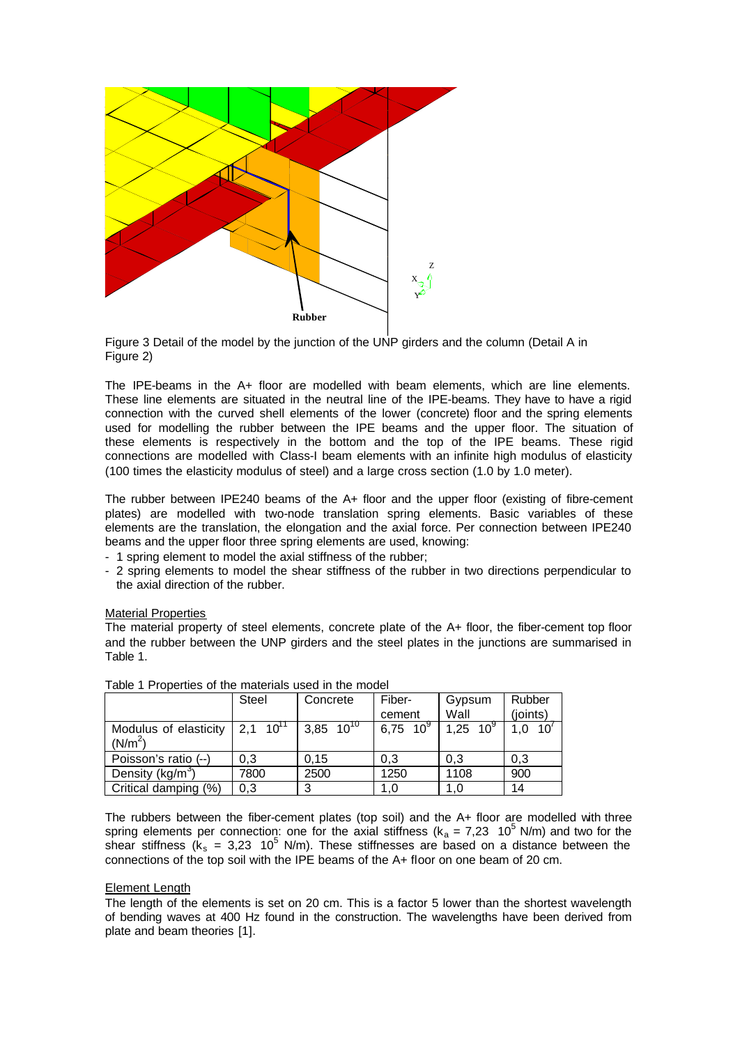

Figure 3 Detail of the model by the junction of the UNP girders and the column (Detail A in Figure 2)

The IPE-beams in the A+ floor are modelled with beam elements, which are line elements. These line elements are situated in the neutral line of the IPE-beams. They have to have a rigid connection with the curved shell elements of the lower (concrete) floor and the spring elements used for modelling the rubber between the IPE beams and the upper floor. The situation of these elements is respectively in the bottom and the top of the IPE beams. These rigid connections are modelled with Class-I beam elements with an infinite high modulus of elasticity (100 times the elasticity modulus of steel) and a large cross section (1.0 by 1.0 meter).

The rubber between IPE240 beams of the A+ floor and the upper floor (existing of fibre-cement plates) are modelled with two-node translation spring elements. Basic variables of these elements are the translation, the elongation and the axial force. Per connection between IPE240 beams and the upper floor three spring elements are used, knowing:

- 1 spring element to model the axial stiffness of the rubber;
- 2 spring elements to model the shear stiffness of the rubber in two directions perpendicular to the axial direction of the rubber.

Material Properties

The material property of steel elements, concrete plate of the A+ floor, the fiber-cement top floor and the rubber between the UNP girders and the steel plates in the junctions are summarised in Table 1.

|                                    | Steel                  | Concrete              | Fiber-        | Gypsum      | Rubber     |  |
|------------------------------------|------------------------|-----------------------|---------------|-------------|------------|--|
|                                    |                        |                       | cement        | Wall        | (joints)   |  |
| Modulus of elasticity<br>$(N/m^2)$ | $2,1$ 10 <sup>11</sup> | 3,85 10 <sup>TV</sup> | $6,75,10^{9}$ | 1,25 $10^9$ | 10'<br>1,0 |  |
|                                    | 0.3                    | 0.15                  | 0.3           | 0.3         |            |  |
| Poisson's ratio (--)               |                        |                       |               |             | 0,3        |  |
| Density (kg/m <sup>3</sup> )       | 7800                   | 2500                  | 1250          | 1108        | 900        |  |
| Critical damping (%)               | 0.3                    | 3                     | 1.0           |             | 14         |  |

Table 1 Properties of the materials used in the model

The rubbers between the fiber-cement plates (top soil) and the A+ floor are modelled with three spring elements per connection: one for the axial stiffness ( $k_a = 7.23$  10<sup>5</sup> N/m) and two for the shear stiffness ( $k_s$  = 3,23 10<sup>5</sup> N/m). These stiffnesses are based on a distance between the connections of the top soil with the IPE beams of the A+ floor on one beam of 20 cm.

# Element Length

The length of the elements is set on 20 cm. This is a factor 5 lower than the shortest wavelength of bending waves at 400 Hz found in the construction. The wavelengths have been derived from plate and beam theories [1].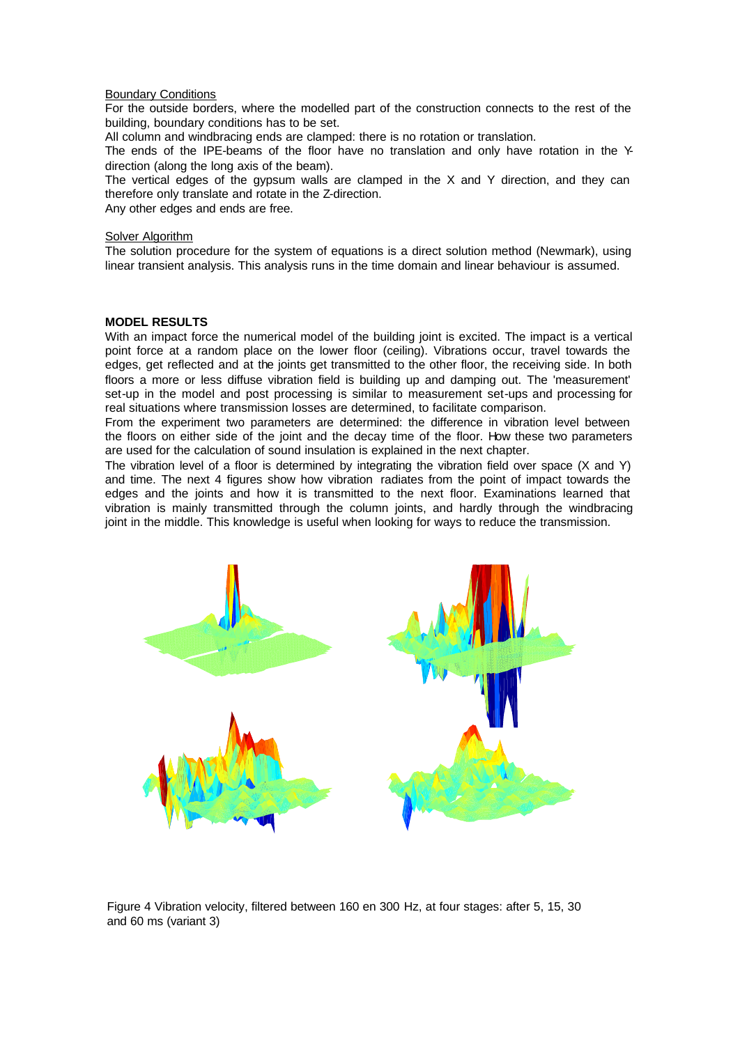## Boundary Conditions

For the outside borders, where the modelled part of the construction connects to the rest of the building, boundary conditions has to be set.

All column and windbracing ends are clamped: there is no rotation or translation.

The ends of the IPE-beams of the floor have no translation and only have rotation in the Ydirection (along the long axis of the beam).

The vertical edges of the gypsum walls are clamped in the  $X$  and  $Y$  direction, and they can therefore only translate and rotate in the Z-direction.

Any other edges and ends are free.

# **Solver Algorithm**

The solution procedure for the system of equations is a direct solution method (Newmark), using linear transient analysis. This analysis runs in the time domain and linear behaviour is assumed.

# **MODEL RESULTS**

With an impact force the numerical model of the building joint is excited. The impact is a vertical point force at a random place on the lower floor (ceiling). Vibrations occur, travel towards the edges, get reflected and at the joints get transmitted to the other floor, the receiving side. In both floors a more or less diffuse vibration field is building up and damping out. The 'measurement' set-up in the model and post processing is similar to measurement set-ups and processing for real situations where transmission losses are determined, to facilitate comparison.

From the experiment two parameters are determined: the difference in vibration level between the floors on either side of the joint and the decay time of the floor. How these two parameters are used for the calculation of sound insulation is explained in the next chapter.

The vibration level of a floor is determined by integrating the vibration field over space (X and Y) and time. The next 4 figures show how vibration radiates from the point of impact towards the edges and the joints and how it is transmitted to the next floor. Examinations learned that vibration is mainly transmitted through the column joints, and hardly through the windbracing joint in the middle. This knowledge is useful when looking for ways to reduce the transmission.



Figure 4 Vibration velocity, filtered between 160 en 300 Hz, at four stages: after 5, 15, 30 and 60 ms (variant 3)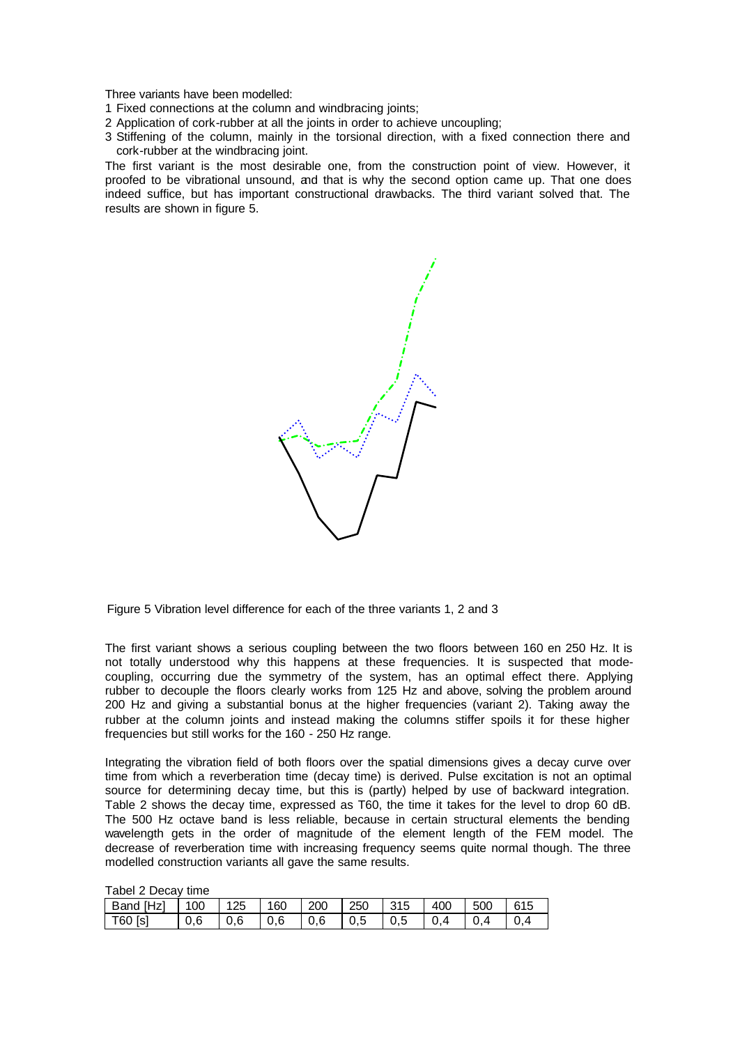Three variants have been modelled:

- 1 Fixed connections at the column and windbracing joints;
- 2 Application of cork-rubber at all the joints in order to achieve uncoupling;
- 3 Stiffening of the column, mainly in the torsional direction, with a fixed connection there and cork-rubber at the windbracing joint.

The first variant is the most desirable one, from the construction point of view. However, it proofed to be vibrational unsound, and that is why the second option came up. That one does indeed suffice, but has important constructional drawbacks. The third variant solved that. The results are shown in figure 5.

Figure 5 Vibration level difference for each of the three variants 1, 2 and 3

The first variant shows a serious coupling between the two floors between 160 en 250 Hz. It is not totally understood why this happens at these frequencies. It is suspected that modecoupling, occurring due the symmetry of the system, has an optimal effect there. Applying rubber to decouple the floors clearly works from 125 Hz and above, solving the problem around 200 Hz and giving a substantial bonus at the higher frequencies (variant 2). Taking away the rubber at the column joints and instead making the columns stiffer spoils it for these higher frequencies but still works for the 160 - 250 Hz range.

Integrating the vibration field of both floors over the spatial dimensions gives a decay curve over time from which a reverberation time (decay time) is derived. Pulse excitation is not an optimal source for determining decay time, but this is (partly) helped by use of backward integration. Table 2 shows the decay time, expressed as T60, the time it takes for the level to drop 60 dB. The 500 Hz octave band is less reliable, because in certain structural elements the bending wavelength gets in the order of magnitude of the element length of the FEM model. The decrease of reverberation time with increasing frequency seems quite normal though. The three modelled construction variants all gave the same results.

| $10001$ $\mu$ DUCAY $1010$ |     |     |     |     |     |     |     |     |     |  |  |
|----------------------------|-----|-----|-----|-----|-----|-----|-----|-----|-----|--|--|
| Band [Hz]                  | 100 | 125 | 160 | 200 | 250 | 315 | 400 | 500 | 615 |  |  |
| $\vert$ T60 [s]            | 0,6 | 0.6 | 0,6 | 0.6 | 0.5 | 0,5 | 0.4 | 0.4 |     |  |  |

Tabel 2 Decay time